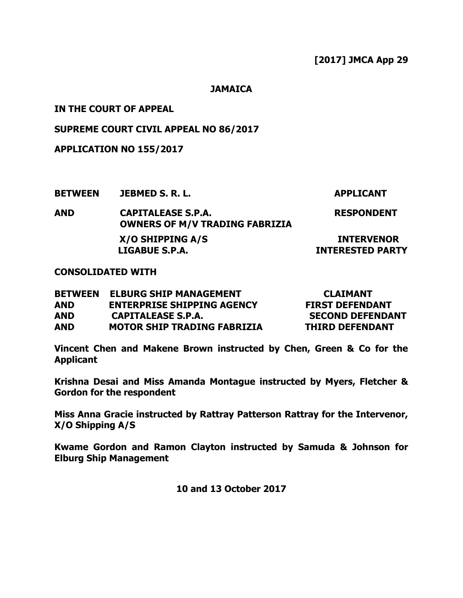**JAMAICA**

**IN THE COURT OF APPEAL**

**SUPREME COURT CIVIL APPEAL NO 86/2017**

**APPLICATION NO 155/2017**

**BETWEEN JEBMED S. R. L. APPLICANT**

**AND CAPITALEASE S.P.A. OWNERS OF M/V TRADING FABRIZIA RESPONDENT X/O SHIPPING A/S INTERVENOR LIGABUE S.P.A. INTERESTED PARTY**

**CONSOLIDATED WITH**

| <b>BETWEEN</b> | <b>ELBURG SHIP MANAGEMENT</b>      | <b>CLAIMANT</b>         |
|----------------|------------------------------------|-------------------------|
| AND            | <b>ENTERPRISE SHIPPING AGENCY</b>  | <b>FIRST DEFENDANT</b>  |
| AND            | CAPITALEASE S.P.A.                 | <b>SECOND DEFENDANT</b> |
| <b>AND</b>     | <b>MOTOR SHIP TRADING FABRIZIA</b> | <b>THIRD DEFENDANT</b>  |

**Vincent Chen and Makene Brown instructed by Chen, Green & Co for the Applicant**

**Krishna Desai and Miss Amanda Montague instructed by Myers, Fletcher & Gordon for the respondent**

**Miss Anna Gracie instructed by Rattray Patterson Rattray for the Intervenor, X/O Shipping A/S**

**Kwame Gordon and Ramon Clayton instructed by Samuda & Johnson for Elburg Ship Management** 

**10 and 13 October 2017**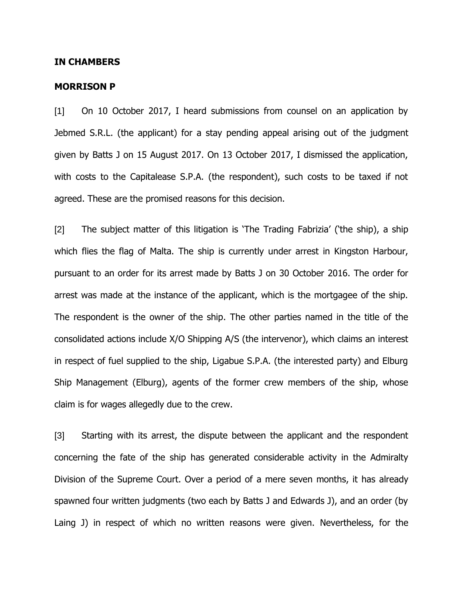## **IN CHAMBERS**

## **MORRISON P**

[1] On 10 October 2017, I heard submissions from counsel on an application by Jebmed S.R.L. (the applicant) for a stay pending appeal arising out of the judgment given by Batts J on 15 August 2017. On 13 October 2017, I dismissed the application, with costs to the Capitalease S.P.A. (the respondent), such costs to be taxed if not agreed. These are the promised reasons for this decision.

[2] The subject matter of this litigation is "The Trading Fabrizia" ("the ship), a ship which flies the flag of Malta. The ship is currently under arrest in Kingston Harbour, pursuant to an order for its arrest made by Batts J on 30 October 2016. The order for arrest was made at the instance of the applicant, which is the mortgagee of the ship. The respondent is the owner of the ship. The other parties named in the title of the consolidated actions include X/O Shipping A/S (the intervenor), which claims an interest in respect of fuel supplied to the ship, Ligabue S.P.A. (the interested party) and Elburg Ship Management (Elburg), agents of the former crew members of the ship, whose claim is for wages allegedly due to the crew.

[3] Starting with its arrest, the dispute between the applicant and the respondent concerning the fate of the ship has generated considerable activity in the Admiralty Division of the Supreme Court. Over a period of a mere seven months, it has already spawned four written judgments (two each by Batts J and Edwards J), and an order (by Laing J) in respect of which no written reasons were given. Nevertheless, for the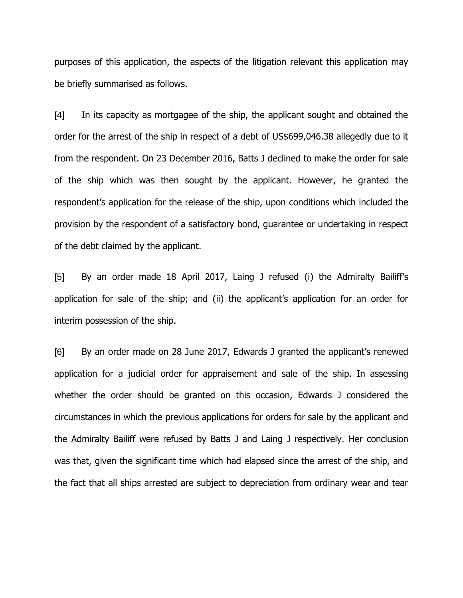purposes of this application, the aspects of the litigation relevant this application may be briefly summarised as follows.

[4] In its capacity as mortgagee of the ship, the applicant sought and obtained the order for the arrest of the ship in respect of a debt of US\$699,046.38 allegedly due to it from the respondent. On 23 December 2016, Batts J declined to make the order for sale of the ship which was then sought by the applicant. However, he granted the respondent's application for the release of the ship, upon conditions which included the provision by the respondent of a satisfactory bond, guarantee or undertaking in respect of the debt claimed by the applicant.

[5] By an order made 18 April 2017, Laing J refused (i) the Admiralty Bailiff"s application for sale of the ship; and (ii) the applicant's application for an order for interim possession of the ship.

[6] By an order made on 28 June 2017, Edwards J granted the applicant's renewed application for a judicial order for appraisement and sale of the ship. In assessing whether the order should be granted on this occasion, Edwards J considered the circumstances in which the previous applications for orders for sale by the applicant and the Admiralty Bailiff were refused by Batts J and Laing J respectively. Her conclusion was that, given the significant time which had elapsed since the arrest of the ship, and the fact that all ships arrested are subject to depreciation from ordinary wear and tear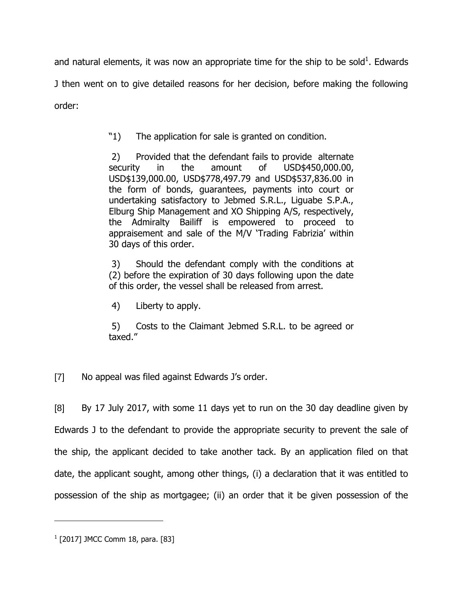and natural elements, it was now an appropriate time for the ship to be sold<sup>1</sup>. Edwards J then went on to give detailed reasons for her decision, before making the following order:

"1) The application for sale is granted on condition.

2) Provided that the defendant fails to provide alternate security in the amount of USD\$450,000.00, USD\$139,000.00, USD\$778,497.79 and USD\$537,836.00 in the form of bonds, guarantees, payments into court or undertaking satisfactory to Jebmed S.R.L., Liguabe S.P.A., Elburg Ship Management and XO Shipping A/S, respectively, the Admiralty Bailiff is empowered to proceed to appraisement and sale of the M/V 'Trading Fabrizia' within 30 days of this order.

3) Should the defendant comply with the conditions at (2) before the expiration of 30 days following upon the date of this order, the vessel shall be released from arrest.

4) Liberty to apply.

5) Costs to the Claimant Jebmed S.R.L. to be agreed or taxed."

[7] No appeal was filed against Edwards J's order.

[8] By 17 July 2017, with some 11 days yet to run on the 30 day deadline given by Edwards J to the defendant to provide the appropriate security to prevent the sale of the ship, the applicant decided to take another tack. By an application filed on that date, the applicant sought, among other things, (i) a declaration that it was entitled to possession of the ship as mortgagee; (ii) an order that it be given possession of the

 $\overline{a}$ 

<sup>&</sup>lt;sup>1</sup> [2017] JMCC Comm 18, para. [83]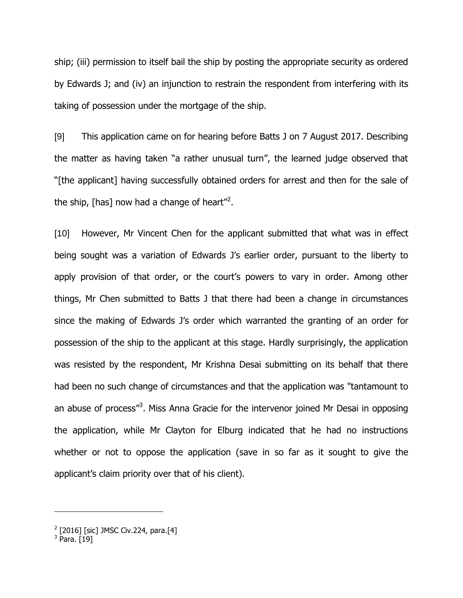ship; (iii) permission to itself bail the ship by posting the appropriate security as ordered by Edwards J; and (iv) an injunction to restrain the respondent from interfering with its taking of possession under the mortgage of the ship.

[9] This application came on for hearing before Batts J on 7 August 2017. Describing the matter as having taken "a rather unusual turn", the learned judge observed that "[the applicant] having successfully obtained orders for arrest and then for the sale of the ship, [has] now had a change of heart"<sup>2</sup>.

[10] However, Mr Vincent Chen for the applicant submitted that what was in effect being sought was a variation of Edwards J's earlier order, pursuant to the liberty to apply provision of that order, or the court's powers to vary in order. Among other things, Mr Chen submitted to Batts J that there had been a change in circumstances since the making of Edwards J's order which warranted the granting of an order for possession of the ship to the applicant at this stage. Hardly surprisingly, the application was resisted by the respondent, Mr Krishna Desai submitting on its behalf that there had been no such change of circumstances and that the application was "tantamount to an abuse of process"<sup>3</sup>. Miss Anna Gracie for the intervenor joined Mr Desai in opposing the application, while Mr Clayton for Elburg indicated that he had no instructions whether or not to oppose the application (save in so far as it sought to give the applicant's claim priority over that of his client).

 $\overline{a}$ 

<sup>&</sup>lt;sup>2</sup> [2016] [sic] JMSC Civ.224, para.[4]<br><sup>3</sup> Para. [19]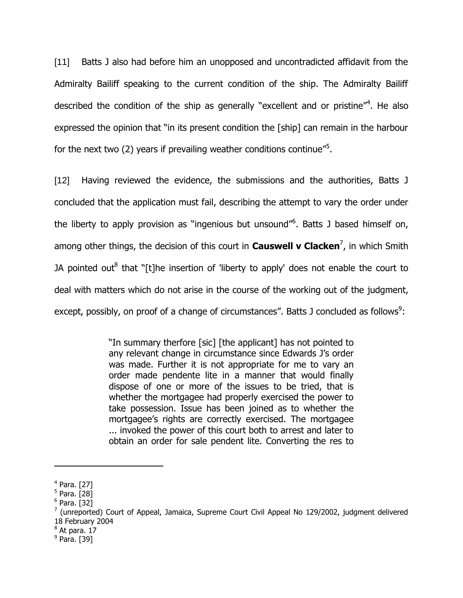[11] Batts J also had before him an unopposed and uncontradicted affidavit from the Admiralty Bailiff speaking to the current condition of the ship. The Admiralty Bailiff described the condition of the ship as generally "excellent and or pristine"<sup>4</sup>. He also expressed the opinion that "in its present condition the [ship] can remain in the harbour for the next two (2) years if prevailing weather conditions continue"<sup>5</sup>.

[12] Having reviewed the evidence, the submissions and the authorities, Batts J concluded that the application must fail, describing the attempt to vary the order under the liberty to apply provision as "ingenious but unsound"<sup>6</sup>. Batts J based himself on, among other things, the decision of this court in **Causwell v Clacken<sup>7</sup>,** in which Smith JA pointed out<sup>8</sup> that "[t]he insertion of 'liberty to apply' does not enable the court to deal with matters which do not arise in the course of the working out of the judgment, except, possibly, on proof of a change of circumstances". Batts J concluded as follows<sup>9</sup>:

> "In summary therfore [sic] [the applicant] has not pointed to any relevant change in circumstance since Edwards J's order was made. Further it is not appropriate for me to vary an order made pendente lite in a manner that would finally dispose of one or more of the issues to be tried, that is whether the mortgagee had properly exercised the power to take possession. Issue has been joined as to whether the mortgagee"s rights are correctly exercised. The mortgagee ... invoked the power of this court both to arrest and later to obtain an order for sale pendent lite. Converting the res to

 $\overline{a}$ 

 $^8$  At para. 17

<sup>4</sup> Para. [27]

<sup>&</sup>lt;sup>5</sup> Para. [28]

<sup>&</sup>lt;sup>6</sup> Para. [32]

 $7$  (unreported) Court of Appeal, Jamaica, Supreme Court Civil Appeal No 129/2002, judgment delivered 18 February 2004

<sup>&</sup>lt;sup>9</sup> Para. [39]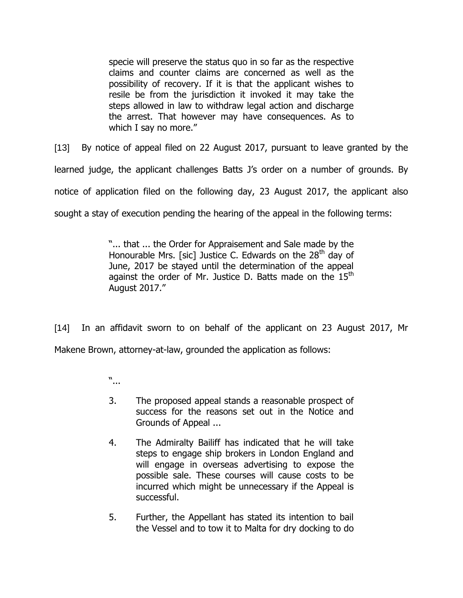specie will preserve the status quo in so far as the respective claims and counter claims are concerned as well as the possibility of recovery. If it is that the applicant wishes to resile be from the jurisdiction it invoked it may take the steps allowed in law to withdraw legal action and discharge the arrest. That however may have consequences. As to which I say no more."

[13] By notice of appeal filed on 22 August 2017, pursuant to leave granted by the learned judge, the applicant challenges Batts J's order on a number of grounds. By notice of application filed on the following day, 23 August 2017, the applicant also sought a stay of execution pending the hearing of the appeal in the following terms:

> "... that ... the Order for Appraisement and Sale made by the Honourable Mrs. [sic] Justice C. Edwards on the  $28<sup>th</sup>$  day of June, 2017 be stayed until the determination of the appeal against the order of Mr. Justice D. Batts made on the  $15<sup>th</sup>$ August 2017."

[14] In an affidavit sworn to on behalf of the applicant on 23 August 2017, Mr Makene Brown, attorney-at-law, grounded the application as follows:

- "...
- 3. The proposed appeal stands a reasonable prospect of success for the reasons set out in the Notice and Grounds of Appeal ...
- 4. The Admiralty Bailiff has indicated that he will take steps to engage ship brokers in London England and will engage in overseas advertising to expose the possible sale. These courses will cause costs to be incurred which might be unnecessary if the Appeal is successful.
- 5. Further, the Appellant has stated its intention to bail the Vessel and to tow it to Malta for dry docking to do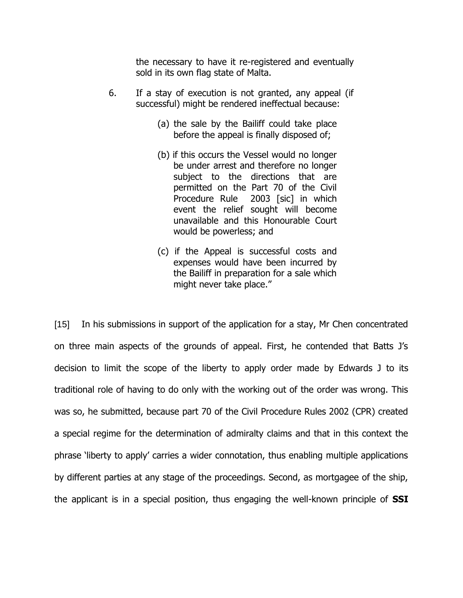the necessary to have it re-registered and eventually sold in its own flag state of Malta.

- 6. If a stay of execution is not granted, any appeal (if successful) might be rendered ineffectual because:
	- (a) the sale by the Bailiff could take place before the appeal is finally disposed of;
	- (b) if this occurs the Vessel would no longer be under arrest and therefore no longer subject to the directions that are permitted on the Part 70 of the Civil Procedure Rule 2003 [sic] in which event the relief sought will become unavailable and this Honourable Court would be powerless; and
	- (c) if the Appeal is successful costs and expenses would have been incurred by the Bailiff in preparation for a sale which might never take place."

[15] In his submissions in support of the application for a stay, Mr Chen concentrated on three main aspects of the grounds of appeal. First, he contended that Batts J"s decision to limit the scope of the liberty to apply order made by Edwards J to its traditional role of having to do only with the working out of the order was wrong. This was so, he submitted, because part 70 of the Civil Procedure Rules 2002 (CPR) created a special regime for the determination of admiralty claims and that in this context the phrase "liberty to apply" carries a wider connotation, thus enabling multiple applications by different parties at any stage of the proceedings. Second, as mortgagee of the ship, the applicant is in a special position, thus engaging the well-known principle of **SSI**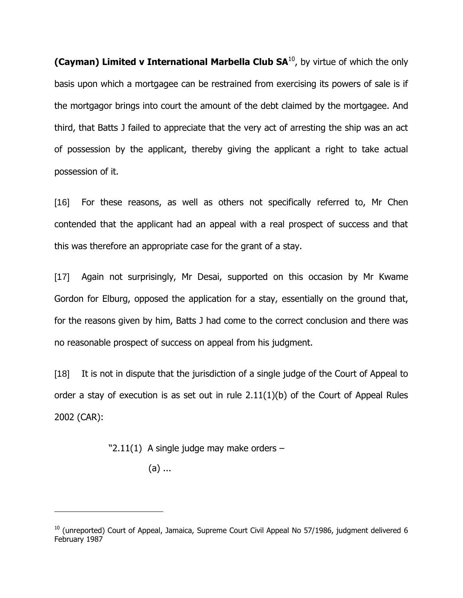**(Cayman) Limited v International Marbella Club SA<sup>10</sup>, by virtue of which the only** basis upon which a mortgagee can be restrained from exercising its powers of sale is if the mortgagor brings into court the amount of the debt claimed by the mortgagee. And third, that Batts J failed to appreciate that the very act of arresting the ship was an act of possession by the applicant, thereby giving the applicant a right to take actual possession of it.

[16] For these reasons, as well as others not specifically referred to, Mr Chen contended that the applicant had an appeal with a real prospect of success and that this was therefore an appropriate case for the grant of a stay.

[17] Again not surprisingly, Mr Desai, supported on this occasion by Mr Kwame Gordon for Elburg, opposed the application for a stay, essentially on the ground that, for the reasons given by him, Batts J had come to the correct conclusion and there was no reasonable prospect of success on appeal from his judgment.

[18] It is not in dispute that the jurisdiction of a single judge of the Court of Appeal to order a stay of execution is as set out in rule 2.11(1)(b) of the Court of Appeal Rules 2002 (CAR):

" $2.11(1)$  A single judge may make orders -

(a) ...

 $\overline{a}$ 

 $10$  (unreported) Court of Appeal, Jamaica, Supreme Court Civil Appeal No 57/1986, judgment delivered 6 February 1987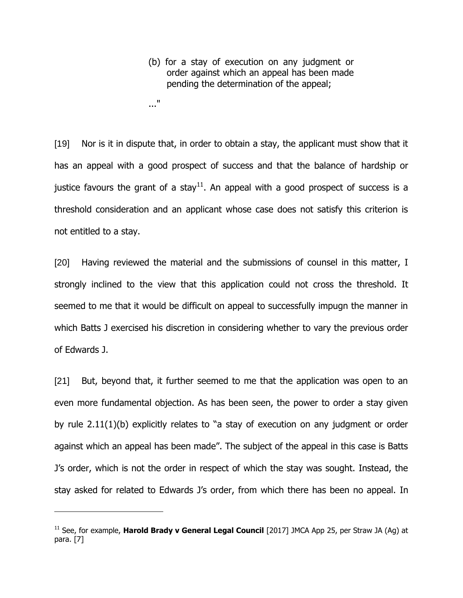- (b) for a stay of execution on any judgment or order against which an appeal has been made pending the determination of the appeal;
- ..."

 $\overline{a}$ 

[19] Nor is it in dispute that, in order to obtain a stay, the applicant must show that it has an appeal with a good prospect of success and that the balance of hardship or justice favours the grant of a stay<sup>11</sup>. An appeal with a good prospect of success is a threshold consideration and an applicant whose case does not satisfy this criterion is not entitled to a stay.

[20] Having reviewed the material and the submissions of counsel in this matter, I strongly inclined to the view that this application could not cross the threshold. It seemed to me that it would be difficult on appeal to successfully impugn the manner in which Batts J exercised his discretion in considering whether to vary the previous order of Edwards J.

[21] But, beyond that, it further seemed to me that the application was open to an even more fundamental objection. As has been seen, the power to order a stay given by rule 2.11(1)(b) explicitly relates to "a stay of execution on any judgment or order against which an appeal has been made". The subject of the appeal in this case is Batts J"s order, which is not the order in respect of which the stay was sought. Instead, the stay asked for related to Edwards J"s order, from which there has been no appeal. In

<sup>&</sup>lt;sup>11</sup> See, for example, **Harold Brady v General Legal Council** [2017] JMCA App 25, per Straw JA (Ag) at para. [7]